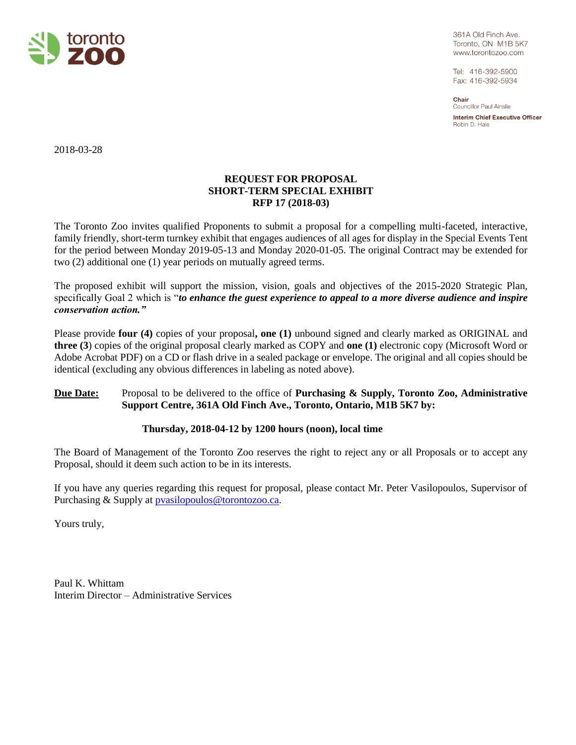

361A Old Finch Ave. Toronto, ON M1B 5K7 www.torontozoo.com

Tel: 416-392-5900 Fax: 416-392-5934

Chair **Councillor Paul Ainslie** 

**Interim Chief Executive Officer** Robin D. Hale

2018-03-28

# **REQUEST FOR PROPOSAL SHORT-TERM SPECIAL EXHIBIT RFP 17 (2018-03)**

The Toronto Zoo invites qualified Proponents to submit a proposal for a compelling multi-faceted, interactive, family friendly, short-term turnkey exhibit that engages audiences of all ages for display in the Special Events Tent for the period between Monday 2019-05-13 and Monday 2020-01-05. The original Contract may be extended for two (2) additional one (1) year periods on mutually agreed terms.

The proposed exhibit will support the mission, vision, goals and objectives of the 2015-2020 Strategic Plan, specifically Goal 2 which is "*to enhance the guest experience to appeal to a more diverse audience and inspire conservation action."*

Please provide **four (4)** copies of your proposal**, one (1)** unbound signed and clearly marked as ORIGINAL and **three (3**) copies of the original proposal clearly marked as COPY and **one (1)** electronic copy (Microsoft Word or Adobe Acrobat PDF) on a CD or flash drive in a sealed package or envelope. The original and all copies should be identical (excluding any obvious differences in labeling as noted above).

# **Due Date:** Proposal to be delivered to the office of **Purchasing & Supply, Toronto Zoo, Administrative Support Centre, 361A Old Finch Ave., Toronto, Ontario, M1B 5K7 by:**

# **Thursday, 2018-04-12 by 1200 hours (noon), local time**

The Board of Management of the Toronto Zoo reserves the right to reject any or all Proposals or to accept any Proposal, should it deem such action to be in its interests.

If you have any queries regarding this request for proposal, please contact Mr. Peter Vasilopoulos, Supervisor of Purchasing & Supply at **pvasilopoulos@torontozoo.ca.** 

Yours truly,

Paul K. Whittam Interim Director – Administrative Services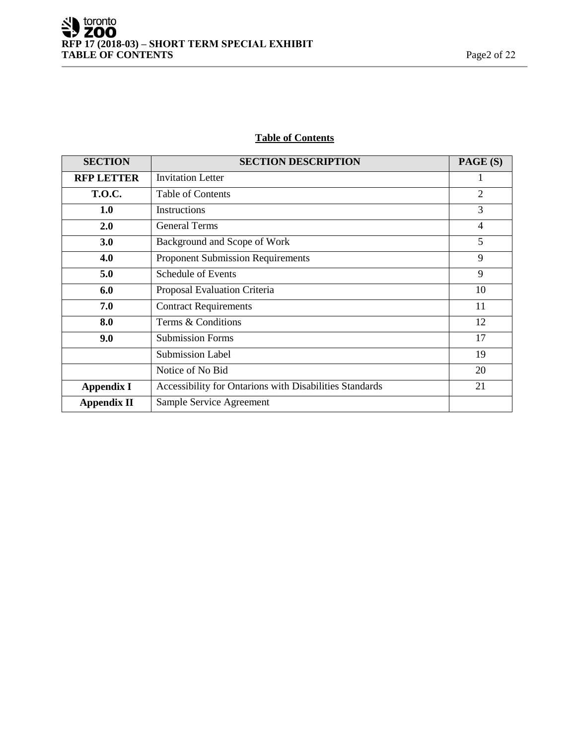# **Table of Contents**

| <b>SECTION</b>     | <b>SECTION DESCRIPTION</b>                              | PAGE (S)       |
|--------------------|---------------------------------------------------------|----------------|
| <b>RFP LETTER</b>  | <b>Invitation Letter</b>                                |                |
| <b>T.O.C.</b>      | <b>Table of Contents</b>                                | $\overline{2}$ |
| 1.0                | <b>Instructions</b>                                     | 3              |
| 2.0                | <b>General Terms</b>                                    | 4              |
| 3.0                | Background and Scope of Work                            | 5              |
| 4.0                | <b>Proponent Submission Requirements</b>                | 9              |
| 5.0                | Schedule of Events                                      | 9              |
| 6.0                | Proposal Evaluation Criteria                            | 10             |
| 7.0                | <b>Contract Requirements</b>                            | 11             |
| 8.0                | Terms & Conditions                                      | 12             |
| 9.0                | <b>Submission Forms</b>                                 | 17             |
|                    | <b>Submission Label</b>                                 | 19             |
|                    | Notice of No Bid                                        | 20             |
| <b>Appendix I</b>  | Accessibility for Ontarions with Disabilities Standards | 21             |
| <b>Appendix II</b> | Sample Service Agreement                                |                |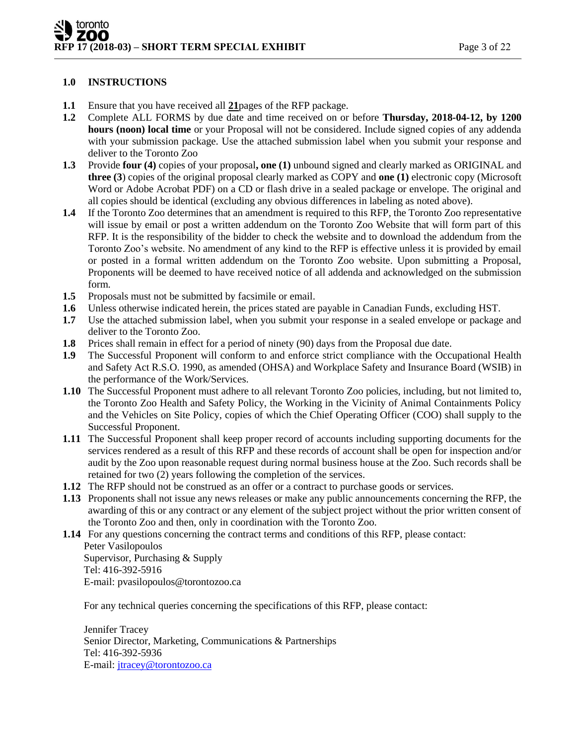# **1.0 INSTRUCTIONS**

- **1.1** Ensure that you have received all **21**pages of the RFP package.
- **1.2** Complete ALL FORMS by due date and time received on or before **Thursday, 2018-04-12, by 1200 hours (noon) local time** or your Proposal will not be considered. Include signed copies of any addenda with your submission package. Use the attached submission label when you submit your response and deliver to the Toronto Zoo
- **1.3** Provide **four (4)** copies of your proposal**, one (1)** unbound signed and clearly marked as ORIGINAL and **three (3**) copies of the original proposal clearly marked as COPY and **one (1)** electronic copy (Microsoft Word or Adobe Acrobat PDF) on a CD or flash drive in a sealed package or envelope. The original and all copies should be identical (excluding any obvious differences in labeling as noted above).
- **1.4** If the Toronto Zoo determines that an amendment is required to this RFP, the Toronto Zoo representative will issue by email or post a written addendum on the Toronto Zoo Website that will form part of this RFP. It is the responsibility of the bidder to check the website and to download the addendum from the Toronto Zoo's website. No amendment of any kind to the RFP is effective unless it is provided by email or posted in a formal written addendum on the Toronto Zoo website. Upon submitting a Proposal, Proponents will be deemed to have received notice of all addenda and acknowledged on the submission form.
- **1.5** Proposals must not be submitted by facsimile or email.
- **1.6** Unless otherwise indicated herein, the prices stated are payable in Canadian Funds, excluding HST.
- **1.7** Use the attached submission label, when you submit your response in a sealed envelope or package and deliver to the Toronto Zoo.
- **1.8** Prices shall remain in effect for a period of ninety (90) days from the Proposal due date.
- **1.9** The Successful Proponent will conform to and enforce strict compliance with the Occupational Health and Safety Act R.S.O. 1990, as amended (OHSA) and Workplace Safety and Insurance Board (WSIB) in the performance of the Work/Services.
- **1.10** The Successful Proponent must adhere to all relevant Toronto Zoo policies, including, but not limited to, the Toronto Zoo Health and Safety Policy, the Working in the Vicinity of Animal Containments Policy and the Vehicles on Site Policy, copies of which the Chief Operating Officer (COO) shall supply to the Successful Proponent.
- **1.11** The Successful Proponent shall keep proper record of accounts including supporting documents for the services rendered as a result of this RFP and these records of account shall be open for inspection and/or audit by the Zoo upon reasonable request during normal business house at the Zoo. Such records shall be retained for two (2) years following the completion of the services.
- **1.12** The RFP should not be construed as an offer or a contract to purchase goods or services.
- **1.13** Proponents shall not issue any news releases or make any public announcements concerning the RFP, the awarding of this or any contract or any element of the subject project without the prior written consent of the Toronto Zoo and then, only in coordination with the Toronto Zoo.
- **1.14** For any questions concerning the contract terms and conditions of this RFP, please contact: Peter Vasilopoulos Supervisor, Purchasing & Supply Tel: 416-392-5916

E-mail: pvasilopoulos@torontozoo.ca

For any technical queries concerning the specifications of this RFP, please contact:

Jennifer Tracey Senior Director, Marketing, Communications & Partnerships Tel: 416-392-5936 E-mail: [jtracey@torontozoo.ca](mailto:jtracey@torontozoo.ca)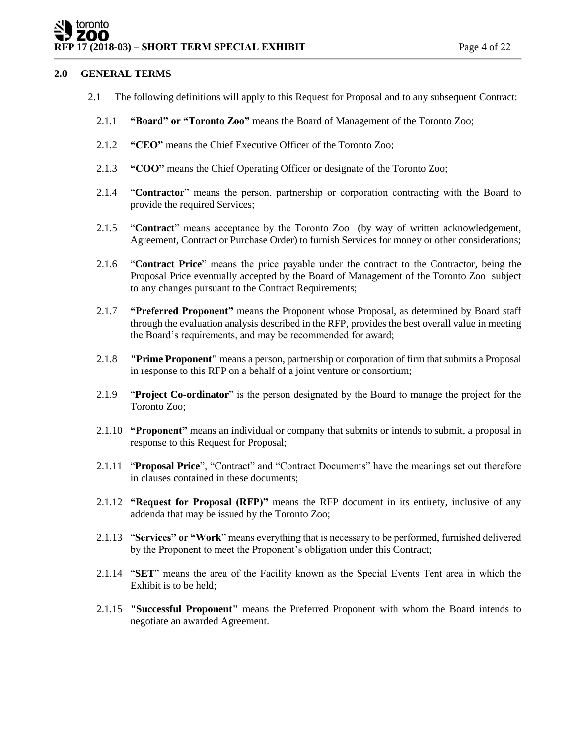# toronto ZOO **RFP 17** (2018-03) – **SHORT TERM SPECIAL EXHIBIT** Page 4 of 22

# **2.0 GENERAL TERMS**

- 2.1 The following definitions will apply to this Request for Proposal and to any subsequent Contract:
	- 2.1.1 **"Board" or "Toronto Zoo"** means the Board of Management of the Toronto Zoo;
	- 2.1.2 **"CEO"** means the Chief Executive Officer of the Toronto Zoo;
	- 2.1.3 **"COO"** means the Chief Operating Officer or designate of the Toronto Zoo;
	- 2.1.4 "**Contractor**" means the person, partnership or corporation contracting with the Board to provide the required Services;
	- 2.1.5 "**Contract**" means acceptance by the Toronto Zoo (by way of written acknowledgement, Agreement, Contract or Purchase Order) to furnish Services for money or other considerations;
	- 2.1.6 "**Contract Price**" means the price payable under the contract to the Contractor, being the Proposal Price eventually accepted by the Board of Management of the Toronto Zoo subject to any changes pursuant to the Contract Requirements;
	- 2.1.7 **"Preferred Proponent"** means the Proponent whose Proposal, as determined by Board staff through the evaluation analysis described in the RFP, provides the best overall value in meeting the Board's requirements, and may be recommended for award;
	- 2.1.8 **"Prime Proponent"** means a person, partnership or corporation of firm that submits a Proposal in response to this RFP on a behalf of a joint venture or consortium;
	- 2.1.9 "**Project Co-ordinator**" is the person designated by the Board to manage the project for the Toronto Zoo;
	- 2.1.10 **"Proponent"** means an individual or company that submits or intends to submit, a proposal in response to this Request for Proposal;
	- 2.1.11 "**Proposal Price**", "Contract" and "Contract Documents" have the meanings set out therefore in clauses contained in these documents;
	- 2.1.12 **"Request for Proposal (RFP)"** means the RFP document in its entirety, inclusive of any addenda that may be issued by the Toronto Zoo;
	- 2.1.13 "**Services" or "Work**" means everything that is necessary to be performed, furnished delivered by the Proponent to meet the Proponent's obligation under this Contract;
	- 2.1.14 "**SET**" means the area of the Facility known as the Special Events Tent area in which the Exhibit is to be held;
	- 2.1.15 **"Successful Proponent"** means the Preferred Proponent with whom the Board intends to negotiate an awarded Agreement.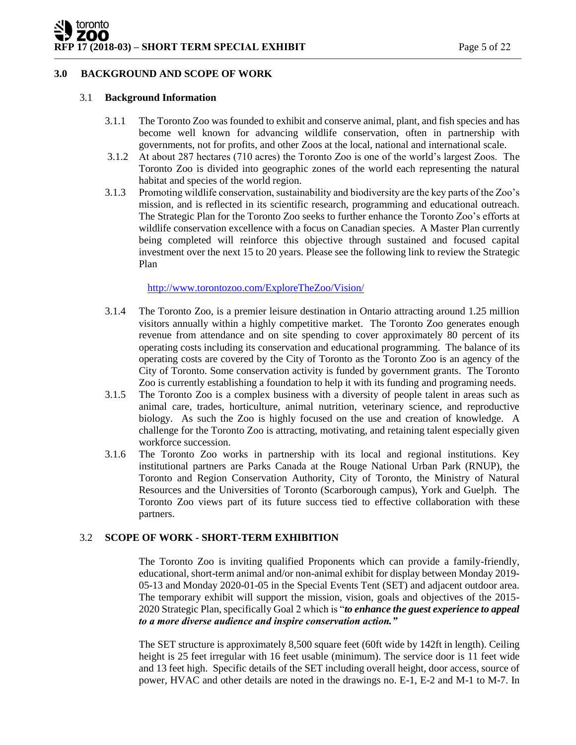# **3.0 BACKGROUND AND SCOPE OF WORK**

#### 3.1 **Background Information**

- 3.1.1 The Toronto Zoo was founded to exhibit and conserve animal, plant, and fish species and has become well known for advancing wildlife conservation, often in partnership with governments, not for profits, and other Zoos at the local, national and international scale.
- 3.1.2 At about 287 hectares (710 acres) the Toronto Zoo is one of the world's largest Zoos. The Toronto Zoo is divided into geographic zones of the world each representing the natural habitat and species of the world region.
- 3.1.3 Promoting wildlife conservation, sustainability and biodiversity are the key parts of the Zoo's mission, and is reflected in its scientific research, programming and educational outreach. The Strategic Plan for the Toronto Zoo seeks to further enhance the Toronto Zoo's efforts at wildlife conservation excellence with a focus on Canadian species. A Master Plan currently being completed will reinforce this objective through sustained and focused capital investment over the next 15 to 20 years. Please see the following link to review the Strategic Plan

<http://www.torontozoo.com/ExploreTheZoo/Vision/>

- 3.1.4 The Toronto Zoo, is a premier leisure destination in Ontario attracting around 1.25 million visitors annually within a highly competitive market. The Toronto Zoo generates enough revenue from attendance and on site spending to cover approximately 80 percent of its operating costs including its conservation and educational programming. The balance of its operating costs are covered by the City of Toronto as the Toronto Zoo is an agency of the City of Toronto. Some conservation activity is funded by government grants. The Toronto Zoo is currently establishing a foundation to help it with its funding and programing needs.
- 3.1.5 The Toronto Zoo is a complex business with a diversity of people talent in areas such as animal care, trades, horticulture, animal nutrition, veterinary science, and reproductive biology. As such the Zoo is highly focused on the use and creation of knowledge. A challenge for the Toronto Zoo is attracting, motivating, and retaining talent especially given workforce succession.
- 3.1.6 The Toronto Zoo works in partnership with its local and regional institutions. Key institutional partners are Parks Canada at the Rouge National Urban Park (RNUP), the Toronto and Region Conservation Authority, City of Toronto, the Ministry of Natural Resources and the Universities of Toronto (Scarborough campus), York and Guelph. The Toronto Zoo views part of its future success tied to effective collaboration with these partners.

# 3.2 **SCOPE OF WORK - SHORT-TERM EXHIBITION**

The Toronto Zoo is inviting qualified Proponents which can provide a family-friendly, educational, short-term animal and/or non-animal exhibit for display between Monday 2019- 05-13 and Monday 2020-01-05 in the Special Events Tent (SET) and adjacent outdoor area. The temporary exhibit will support the mission, vision, goals and objectives of the 2015- 2020 Strategic Plan, specifically Goal 2 which is "*to enhance the guest experience to appeal to a more diverse audience and inspire conservation action."* 

The SET structure is approximately 8,500 square feet (60ft wide by 142ft in length). Ceiling height is 25 feet irregular with 16 feet usable (minimum). The service door is 11 feet wide and 13 feet high. Specific details of the SET including overall height, door access, source of power, HVAC and other details are noted in the drawings no. E-1, E-2 and M-1 to M-7. In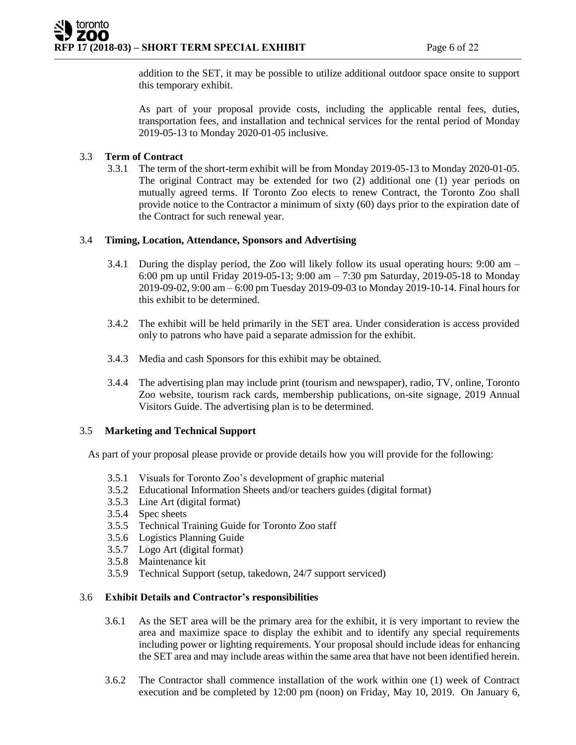addition to the SET, it may be possible to utilize additional outdoor space onsite to support this temporary exhibit.

As part of your proposal provide costs, including the applicable rental fees, duties, transportation fees, and installation and technical services for the rental period of Monday 2019-05-13 to Monday 2020-01-05 inclusive.

# 3.3 **Term of Contract**

3.3.1 The term of the short-term exhibit will be from Monday 2019-05-13 to Monday 2020-01-05. The original Contract may be extended for two (2) additional one (1) year periods on mutually agreed terms. If Toronto Zoo elects to renew Contract, the Toronto Zoo shall provide notice to the Contractor a minimum of sixty (60) days prior to the expiration date of the Contract for such renewal year.

# 3.4 **Timing, Location, Attendance, Sponsors and Advertising**

- 3.4.1 During the display period, the Zoo will likely follow its usual operating hours: 9:00 am 6:00 pm up until Friday 2019-05-13; 9:00 am – 7:30 pm Saturday, 2019-05-18 to Monday 2019-09-02, 9:00 am – 6:00 pm Tuesday 2019-09-03 to Monday 2019-10-14. Final hours for this exhibit to be determined.
- 3.4.2 The exhibit will be held primarily in the SET area. Under consideration is access provided only to patrons who have paid a separate admission for the exhibit.
- 3.4.3 Media and cash Sponsors for this exhibit may be obtained.
- 3.4.4 The advertising plan may include print (tourism and newspaper), radio, TV, online, Toronto Zoo website, tourism rack cards, membership publications, on-site signage, 2019 Annual Visitors Guide. The advertising plan is to be determined.

# 3.5 **Marketing and Technical Support**

As part of your proposal please provide or provide details how you will provide for the following:

- 3.5.1 Visuals for Toronto Zoo's development of graphic material
- 3.5.2 Educational Information Sheets and/or teachers guides (digital format)
- 3.5.3 Line Art (digital format)
- 3.5.4 Spec sheets
- 3.5.5 Technical Training Guide for Toronto Zoo staff
- 3.5.6 Logistics Planning Guide
- 3.5.7 Logo Art (digital format)
- 3.5.8 Maintenance kit
- 3.5.9 Technical Support (setup, takedown, 24/7 support serviced)

# 3.6 **Exhibit Details and Contractor's responsibilities**

- 3.6.1 As the SET area will be the primary area for the exhibit, it is very important to review the area and maximize space to display the exhibit and to identify any special requirements including power or lighting requirements. Your proposal should include ideas for enhancing the SET area and may include areas within the same area that have not been identified herein.
- 3.6.2 The Contractor shall commence installation of the work within one (1) week of Contract execution and be completed by 12:00 pm (noon) on Friday, May 10, 2019. On January 6,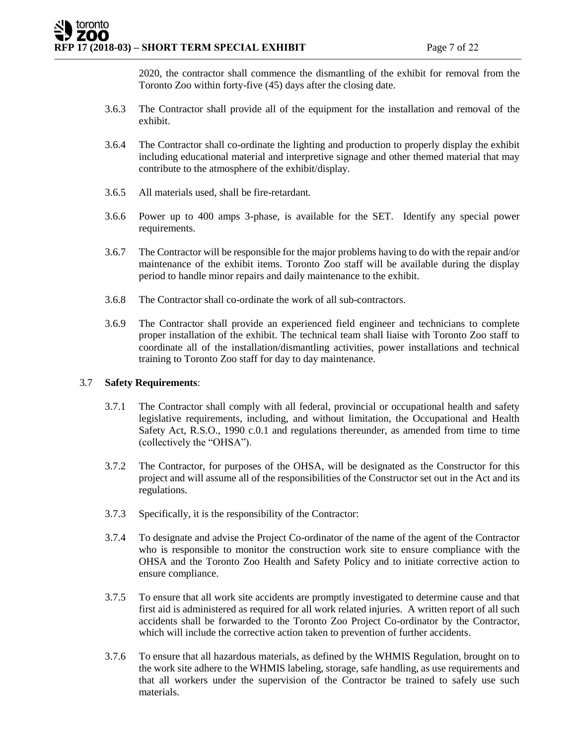2020, the contractor shall commence the dismantling of the exhibit for removal from the Toronto Zoo within forty-five (45) days after the closing date.

- 3.6.3 The Contractor shall provide all of the equipment for the installation and removal of the exhibit.
- 3.6.4 The Contractor shall co-ordinate the lighting and production to properly display the exhibit including educational material and interpretive signage and other themed material that may contribute to the atmosphere of the exhibit/display.
- 3.6.5 All materials used, shall be fire-retardant.
- 3.6.6 Power up to 400 amps 3-phase, is available for the SET. Identify any special power requirements.
- 3.6.7 The Contractor will be responsible for the major problems having to do with the repair and/or maintenance of the exhibit items. Toronto Zoo staff will be available during the display period to handle minor repairs and daily maintenance to the exhibit.
- 3.6.8 The Contractor shall co-ordinate the work of all sub-contractors.
- 3.6.9 The Contractor shall provide an experienced field engineer and technicians to complete proper installation of the exhibit. The technical team shall liaise with Toronto Zoo staff to coordinate all of the installation/dismantling activities, power installations and technical training to Toronto Zoo staff for day to day maintenance.

# 3.7 **Safety Requirements**:

- 3.7.1 The Contractor shall comply with all federal, provincial or occupational health and safety legislative requirements, including, and without limitation, the Occupational and Health Safety Act, R.S.O., 1990 c.0.1 and regulations thereunder, as amended from time to time (collectively the "OHSA").
- 3.7.2 The Contractor, for purposes of the OHSA, will be designated as the Constructor for this project and will assume all of the responsibilities of the Constructor set out in the Act and its regulations.
- 3.7.3 Specifically, it is the responsibility of the Contractor:
- 3.7.4 To designate and advise the Project Co-ordinator of the name of the agent of the Contractor who is responsible to monitor the construction work site to ensure compliance with the OHSA and the Toronto Zoo Health and Safety Policy and to initiate corrective action to ensure compliance.
- 3.7.5 To ensure that all work site accidents are promptly investigated to determine cause and that first aid is administered as required for all work related injuries. A written report of all such accidents shall be forwarded to the Toronto Zoo Project Co-ordinator by the Contractor, which will include the corrective action taken to prevention of further accidents.
- 3.7.6 To ensure that all hazardous materials, as defined by the WHMIS Regulation, brought on to the work site adhere to the WHMIS labeling, storage, safe handling, as use requirements and that all workers under the supervision of the Contractor be trained to safely use such materials.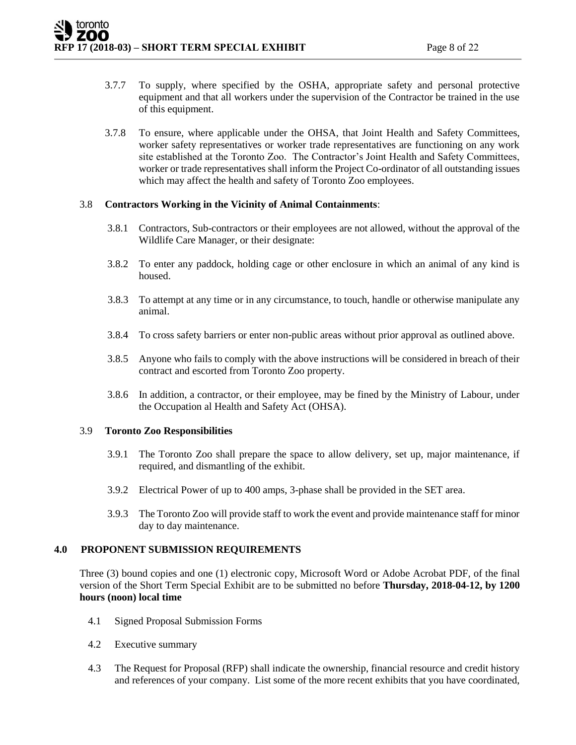- 3.7.7 To supply, where specified by the OSHA, appropriate safety and personal protective equipment and that all workers under the supervision of the Contractor be trained in the use of this equipment.
- 3.7.8 To ensure, where applicable under the OHSA, that Joint Health and Safety Committees, worker safety representatives or worker trade representatives are functioning on any work site established at the Toronto Zoo. The Contractor's Joint Health and Safety Committees, worker or trade representatives shall inform the Project Co-ordinator of all outstanding issues which may affect the health and safety of Toronto Zoo employees.

# 3.8 **Contractors Working in the Vicinity of Animal Containments**:

- 3.8.1 Contractors, Sub-contractors or their employees are not allowed, without the approval of the Wildlife Care Manager, or their designate:
- 3.8.2 To enter any paddock, holding cage or other enclosure in which an animal of any kind is housed.
- 3.8.3 To attempt at any time or in any circumstance, to touch, handle or otherwise manipulate any animal.
- 3.8.4 To cross safety barriers or enter non-public areas without prior approval as outlined above.
- 3.8.5 Anyone who fails to comply with the above instructions will be considered in breach of their contract and escorted from Toronto Zoo property.
- 3.8.6 In addition, a contractor, or their employee, may be fined by the Ministry of Labour, under the Occupation al Health and Safety Act (OHSA).

#### 3.9 **Toronto Zoo Responsibilities**

- 3.9.1 The Toronto Zoo shall prepare the space to allow delivery, set up, major maintenance, if required, and dismantling of the exhibit.
- 3.9.2 Electrical Power of up to 400 amps, 3-phase shall be provided in the SET area.
- 3.9.3 The Toronto Zoo will provide staff to work the event and provide maintenance staff for minor day to day maintenance.

#### **4.0 PROPONENT SUBMISSION REQUIREMENTS**

Three (3) bound copies and one (1) electronic copy, Microsoft Word or Adobe Acrobat PDF, of the final version of the Short Term Special Exhibit are to be submitted no before **Thursday, 2018-04-12, by 1200 hours (noon) local time**

- 4.1 Signed Proposal Submission Forms
- 4.2 Executive summary
- 4.3 The Request for Proposal (RFP) shall indicate the ownership, financial resource and credit history and references of your company. List some of the more recent exhibits that you have coordinated,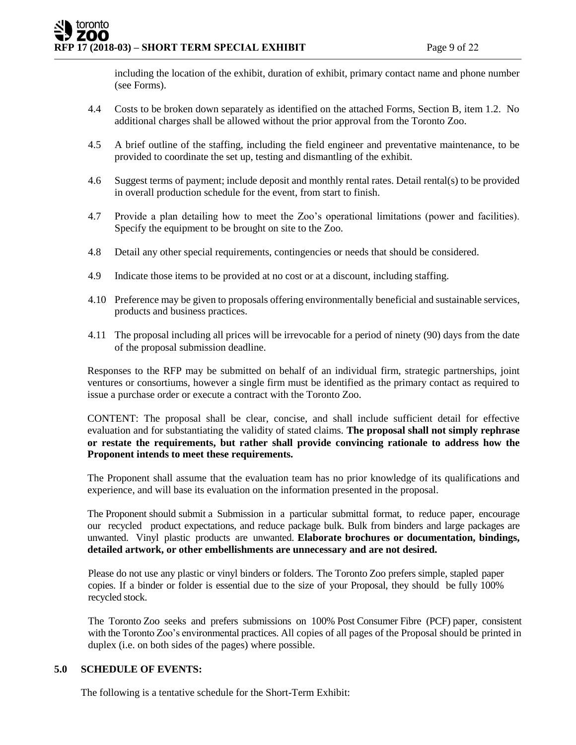including the location of the exhibit, duration of exhibit, primary contact name and phone number (see Forms).

- 4.4 Costs to be broken down separately as identified on the attached Forms, Section B, item 1.2. No additional charges shall be allowed without the prior approval from the Toronto Zoo.
- 4.5 A brief outline of the staffing, including the field engineer and preventative maintenance, to be provided to coordinate the set up, testing and dismantling of the exhibit.
- 4.6 Suggest terms of payment; include deposit and monthly rental rates. Detail rental(s) to be provided in overall production schedule for the event, from start to finish.
- 4.7 Provide a plan detailing how to meet the Zoo's operational limitations (power and facilities). Specify the equipment to be brought on site to the Zoo.
- 4.8 Detail any other special requirements, contingencies or needs that should be considered.
- 4.9 Indicate those items to be provided at no cost or at a discount, including staffing.
- 4.10 Preference may be given to proposals offering environmentally beneficial and sustainable services, products and business practices.
- 4.11 The proposal including all prices will be irrevocable for a period of ninety (90) days from the date of the proposal submission deadline.

Responses to the RFP may be submitted on behalf of an individual firm, strategic partnerships, joint ventures or consortiums, however a single firm must be identified as the primary contact as required to issue a purchase order or execute a contract with the Toronto Zoo.

CONTENT: The proposal shall be clear, concise, and shall include sufficient detail for effective evaluation and for substantiating the validity of stated claims. **The proposal shall not simply rephrase or restate the requirements, but rather shall provide convincing rationale to address how the Proponent intends to meet these requirements.** 

The Proponent shall assume that the evaluation team has no prior knowledge of its qualifications and experience, and will base its evaluation on the information presented in the proposal.

The Proponent should submit a Submission in a particular submittal format, to reduce paper, encourage our recycled product expectations, and reduce package bulk. Bulk from binders and large packages are unwanted. Vinyl plastic products are unwanted. **Elaborate brochures or documentation, bindings, detailed artwork, or other embellishments are unnecessary and are not desired.** 

Please do not use any plastic or vinyl binders or folders. The Toronto Zoo prefers simple, stapled paper copies. If a binder or folder is essential due to the size of your Proposal, they should be fully 100% recycled stock.

The Toronto Zoo seeks and prefers submissions on 100% Post Consumer Fibre (PCF) paper, consistent with the Toronto Zoo's environmental practices. All copies of all pages of the Proposal should be printed in duplex (i.e. on both sides of the pages) where possible.

# **5.0 SCHEDULE OF EVENTS:**

The following is a tentative schedule for the Short-Term Exhibit: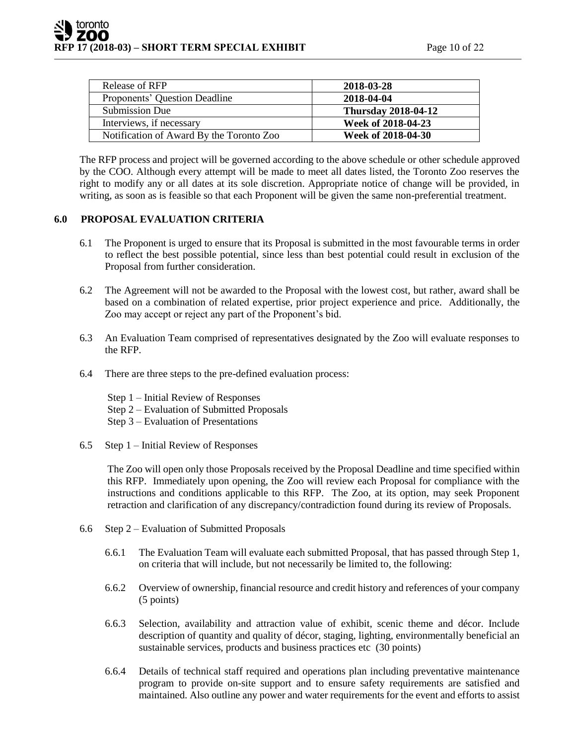| Release of RFP                           | 2018-03-28                 |
|------------------------------------------|----------------------------|
| Proponents' Question Deadline            | 2018-04-04                 |
| Submission Due                           | <b>Thursday 2018-04-12</b> |
| Interviews, if necessary                 | Week of 2018-04-23         |
| Notification of Award By the Toronto Zoo | Week of 2018-04-30         |

The RFP process and project will be governed according to the above schedule or other schedule approved by the COO. Although every attempt will be made to meet all dates listed, the Toronto Zoo reserves the right to modify any or all dates at its sole discretion. Appropriate notice of change will be provided, in writing, as soon as is feasible so that each Proponent will be given the same non-preferential treatment.

# **6.0 PROPOSAL EVALUATION CRITERIA**

- 6.1 The Proponent is urged to ensure that its Proposal is submitted in the most favourable terms in order to reflect the best possible potential, since less than best potential could result in exclusion of the Proposal from further consideration.
- 6.2 The Agreement will not be awarded to the Proposal with the lowest cost, but rather, award shall be based on a combination of related expertise, prior project experience and price. Additionally, the Zoo may accept or reject any part of the Proponent's bid.
- 6.3 An Evaluation Team comprised of representatives designated by the Zoo will evaluate responses to the RFP.
- 6.4 There are three steps to the pre-defined evaluation process:

Step 1 – Initial Review of Responses Step 2 – Evaluation of Submitted Proposals

- Step 3 Evaluation of Presentations
- 6.5 Step 1 Initial Review of Responses

The Zoo will open only those Proposals received by the Proposal Deadline and time specified within this RFP. Immediately upon opening, the Zoo will review each Proposal for compliance with the instructions and conditions applicable to this RFP. The Zoo, at its option, may seek Proponent retraction and clarification of any discrepancy/contradiction found during its review of Proposals.

- 6.6 Step 2 Evaluation of Submitted Proposals
	- 6.6.1 The Evaluation Team will evaluate each submitted Proposal, that has passed through Step 1, on criteria that will include, but not necessarily be limited to, the following:
	- 6.6.2 Overview of ownership, financial resource and credit history and references of your company (5 points)
	- 6.6.3 Selection, availability and attraction value of exhibit, scenic theme and décor. Include description of quantity and quality of décor, staging, lighting, environmentally beneficial an sustainable services, products and business practices etc (30 points)
	- 6.6.4 Details of technical staff required and operations plan including preventative maintenance program to provide on-site support and to ensure safety requirements are satisfied and maintained. Also outline any power and water requirements for the event and efforts to assist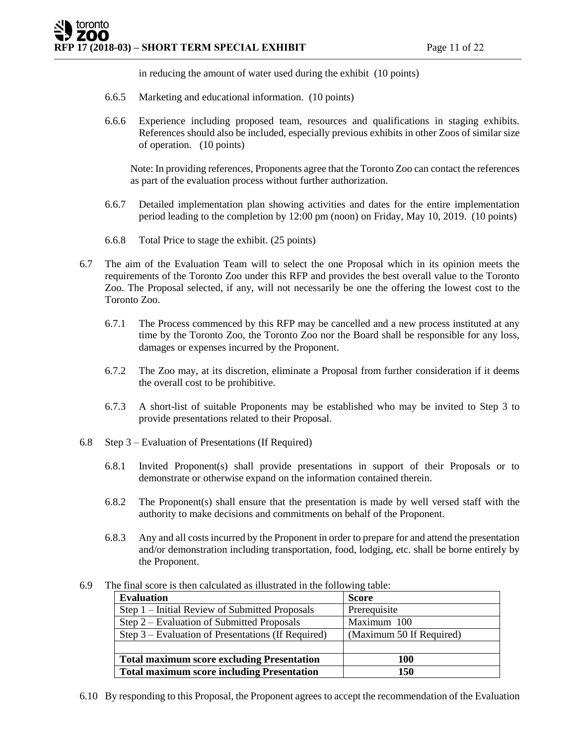in reducing the amount of water used during the exhibit (10 points)

- 6.6.5 Marketing and educational information. (10 points)
- 6.6.6 Experience including proposed team, resources and qualifications in staging exhibits. References should also be included, especially previous exhibits in other Zoos of similar size of operation. (10 points)

Note: In providing references, Proponents agree that the Toronto Zoo can contact the references as part of the evaluation process without further authorization.

- 6.6.7 Detailed implementation plan showing activities and dates for the entire implementation period leading to the completion by 12:00 pm (noon) on Friday, May 10, 2019. (10 points)
- 6.6.8 Total Price to stage the exhibit. (25 points)
- 6.7 The aim of the Evaluation Team will to select the one Proposal which in its opinion meets the requirements of the Toronto Zoo under this RFP and provides the best overall value to the Toronto Zoo. The Proposal selected, if any, will not necessarily be one the offering the lowest cost to the Toronto Zoo.
	- 6.7.1 The Process commenced by this RFP may be cancelled and a new process instituted at any time by the Toronto Zoo, the Toronto Zoo nor the Board shall be responsible for any loss, damages or expenses incurred by the Proponent.
	- 6.7.2 The Zoo may, at its discretion, eliminate a Proposal from further consideration if it deems the overall cost to be prohibitive.
	- 6.7.3 A short-list of suitable Proponents may be established who may be invited to Step 3 to provide presentations related to their Proposal.
- 6.8 Step 3 Evaluation of Presentations (If Required)
	- 6.8.1 Invited Proponent(s) shall provide presentations in support of their Proposals or to demonstrate or otherwise expand on the information contained therein.
	- 6.8.2 The Proponent(s) shall ensure that the presentation is made by well versed staff with the authority to make decisions and commitments on behalf of the Proponent.
	- 6.8.3 Any and all costs incurred by the Proponent in order to prepare for and attend the presentation and/or demonstration including transportation, food, lodging, etc. shall be borne entirely by the Proponent.
- 6.9 The final score is then calculated as illustrated in the following table:

| <b>Evaluation</b>                                  | <b>Score</b>             |
|----------------------------------------------------|--------------------------|
| Step 1 – Initial Review of Submitted Proposals     | Prerequisite             |
| Step 2 – Evaluation of Submitted Proposals         | Maximum 100              |
| Step 3 – Evaluation of Presentations (If Required) | (Maximum 50 If Required) |
|                                                    |                          |
| <b>Total maximum score excluding Presentation</b>  | 100                      |
| <b>Total maximum score including Presentation</b>  | 150                      |

6.10 By responding to this Proposal, the Proponent agrees to accept the recommendation of the Evaluation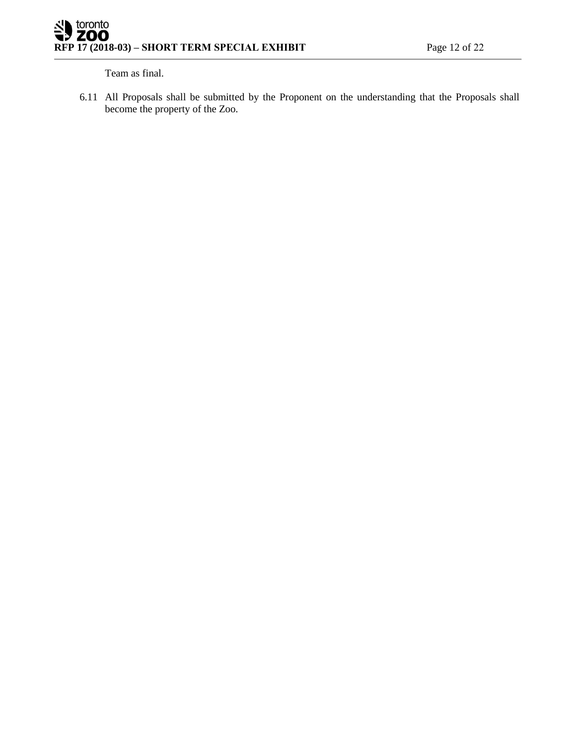Team as final.

6.11 All Proposals shall be submitted by the Proponent on the understanding that the Proposals shall become the property of the Zoo.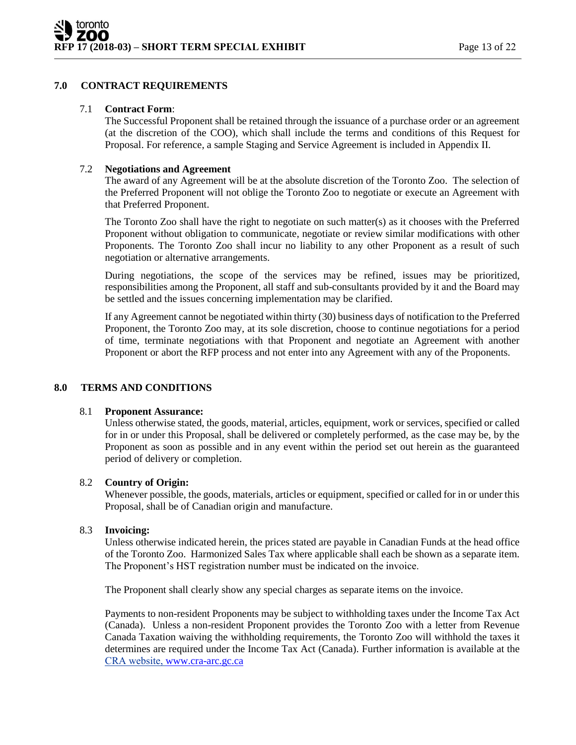# **7.0 CONTRACT REQUIREMENTS**

#### 7.1 **Contract Form**:

The Successful Proponent shall be retained through the issuance of a purchase order or an agreement (at the discretion of the COO), which shall include the terms and conditions of this Request for Proposal. For reference, a sample Staging and Service Agreement is included in Appendix II.

# 7.2 **Negotiations and Agreement**

The award of any Agreement will be at the absolute discretion of the Toronto Zoo. The selection of the Preferred Proponent will not oblige the Toronto Zoo to negotiate or execute an Agreement with that Preferred Proponent.

The Toronto Zoo shall have the right to negotiate on such matter(s) as it chooses with the Preferred Proponent without obligation to communicate, negotiate or review similar modifications with other Proponents. The Toronto Zoo shall incur no liability to any other Proponent as a result of such negotiation or alternative arrangements.

During negotiations, the scope of the services may be refined, issues may be prioritized, responsibilities among the Proponent, all staff and sub-consultants provided by it and the Board may be settled and the issues concerning implementation may be clarified.

If any Agreement cannot be negotiated within thirty (30) business days of notification to the Preferred Proponent, the Toronto Zoo may, at its sole discretion, choose to continue negotiations for a period of time, terminate negotiations with that Proponent and negotiate an Agreement with another Proponent or abort the RFP process and not enter into any Agreement with any of the Proponents.

# **8.0 TERMS AND CONDITIONS**

#### 8.1 **Proponent Assurance:**

Unless otherwise stated, the goods, material, articles, equipment, work or services, specified or called for in or under this Proposal, shall be delivered or completely performed, as the case may be, by the Proponent as soon as possible and in any event within the period set out herein as the guaranteed period of delivery or completion.

# 8.2 **Country of Origin:**

Whenever possible, the goods, materials, articles or equipment, specified or called for in or under this Proposal, shall be of Canadian origin and manufacture.

# 8.3 **Invoicing:**

Unless otherwise indicated herein, the prices stated are payable in Canadian Funds at the head office of the Toronto Zoo. Harmonized Sales Tax where applicable shall each be shown as a separate item. The Proponent's HST registration number must be indicated on the invoice.

The Proponent shall clearly show any special charges as separate items on the invoice.

Payments to non-resident Proponents may be subject to withholding taxes under the Income Tax Act (Canada). Unless a non-resident Proponent provides the Toronto Zoo with a letter from Revenue Canada Taxation waiving the withholding requirements, the Toronto Zoo will withhold the taxes it determines are required under the Income Tax Act (Canada). Further information is available at the CRA website, [www.cra-arc.gc.ca](http://www.cra-arc.gc.ca/)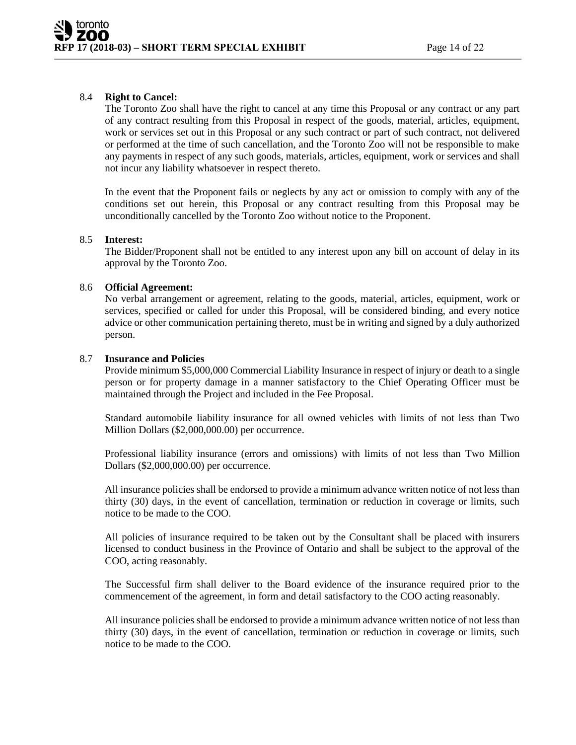# 8.4 **Right to Cancel:**

The Toronto Zoo shall have the right to cancel at any time this Proposal or any contract or any part of any contract resulting from this Proposal in respect of the goods, material, articles, equipment, work or services set out in this Proposal or any such contract or part of such contract, not delivered or performed at the time of such cancellation, and the Toronto Zoo will not be responsible to make any payments in respect of any such goods, materials, articles, equipment, work or services and shall not incur any liability whatsoever in respect thereto.

In the event that the Proponent fails or neglects by any act or omission to comply with any of the conditions set out herein, this Proposal or any contract resulting from this Proposal may be unconditionally cancelled by the Toronto Zoo without notice to the Proponent.

#### 8.5 **Interest:**

The Bidder/Proponent shall not be entitled to any interest upon any bill on account of delay in its approval by the Toronto Zoo.

#### 8.6 **Official Agreement:**

No verbal arrangement or agreement, relating to the goods, material, articles, equipment, work or services, specified or called for under this Proposal, will be considered binding, and every notice advice or other communication pertaining thereto, must be in writing and signed by a duly authorized person.

#### 8.7 **Insurance and Policies**

Provide minimum \$5,000,000 Commercial Liability Insurance in respect of injury or death to a single person or for property damage in a manner satisfactory to the Chief Operating Officer must be maintained through the Project and included in the Fee Proposal.

Standard automobile liability insurance for all owned vehicles with limits of not less than Two Million Dollars (\$2,000,000.00) per occurrence.

Professional liability insurance (errors and omissions) with limits of not less than Two Million Dollars (\$2,000,000.00) per occurrence.

All insurance policies shall be endorsed to provide a minimum advance written notice of not less than thirty (30) days, in the event of cancellation, termination or reduction in coverage or limits, such notice to be made to the COO.

All policies of insurance required to be taken out by the Consultant shall be placed with insurers licensed to conduct business in the Province of Ontario and shall be subject to the approval of the COO, acting reasonably.

The Successful firm shall deliver to the Board evidence of the insurance required prior to the commencement of the agreement, in form and detail satisfactory to the COO acting reasonably.

All insurance policies shall be endorsed to provide a minimum advance written notice of not less than thirty (30) days, in the event of cancellation, termination or reduction in coverage or limits, such notice to be made to the COO.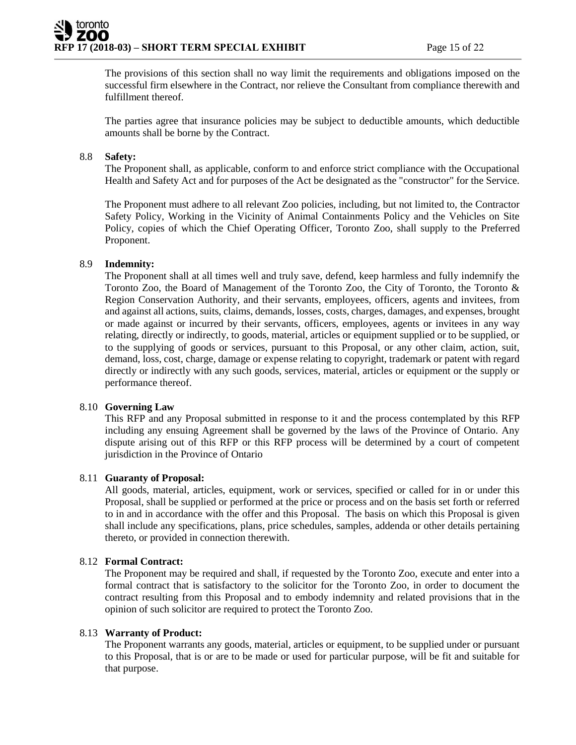The provisions of this section shall no way limit the requirements and obligations imposed on the successful firm elsewhere in the Contract, nor relieve the Consultant from compliance therewith and fulfillment thereof.

The parties agree that insurance policies may be subject to deductible amounts, which deductible amounts shall be borne by the Contract.

# 8.8 **Safety:**

The Proponent shall, as applicable, conform to and enforce strict compliance with the Occupational Health and Safety Act and for purposes of the Act be designated as the "constructor" for the Service.

The Proponent must adhere to all relevant Zoo policies, including, but not limited to, the Contractor Safety Policy, Working in the Vicinity of Animal Containments Policy and the Vehicles on Site Policy, copies of which the Chief Operating Officer, Toronto Zoo, shall supply to the Preferred Proponent.

#### 8.9 **Indemnity:**

The Proponent shall at all times well and truly save, defend, keep harmless and fully indemnify the Toronto Zoo, the Board of Management of the Toronto Zoo, the City of Toronto, the Toronto & Region Conservation Authority, and their servants, employees, officers, agents and invitees, from and against all actions, suits, claims, demands, losses, costs, charges, damages, and expenses, brought or made against or incurred by their servants, officers, employees, agents or invitees in any way relating, directly or indirectly, to goods, material, articles or equipment supplied or to be supplied, or to the supplying of goods or services, pursuant to this Proposal, or any other claim, action, suit, demand, loss, cost, charge, damage or expense relating to copyright, trademark or patent with regard directly or indirectly with any such goods, services, material, articles or equipment or the supply or performance thereof.

#### 8.10 **Governing Law**

This RFP and any Proposal submitted in response to it and the process contemplated by this RFP including any ensuing Agreement shall be governed by the laws of the Province of Ontario. Any dispute arising out of this RFP or this RFP process will be determined by a court of competent jurisdiction in the Province of Ontario

#### 8.11 **Guaranty of Proposal:**

All goods, material, articles, equipment, work or services, specified or called for in or under this Proposal, shall be supplied or performed at the price or process and on the basis set forth or referred to in and in accordance with the offer and this Proposal. The basis on which this Proposal is given shall include any specifications, plans, price schedules, samples, addenda or other details pertaining thereto, or provided in connection therewith.

#### 8.12 **Formal Contract:**

The Proponent may be required and shall, if requested by the Toronto Zoo, execute and enter into a formal contract that is satisfactory to the solicitor for the Toronto Zoo, in order to document the contract resulting from this Proposal and to embody indemnity and related provisions that in the opinion of such solicitor are required to protect the Toronto Zoo.

#### 8.13 **Warranty of Product:**

The Proponent warrants any goods, material, articles or equipment, to be supplied under or pursuant to this Proposal, that is or are to be made or used for particular purpose, will be fit and suitable for that purpose.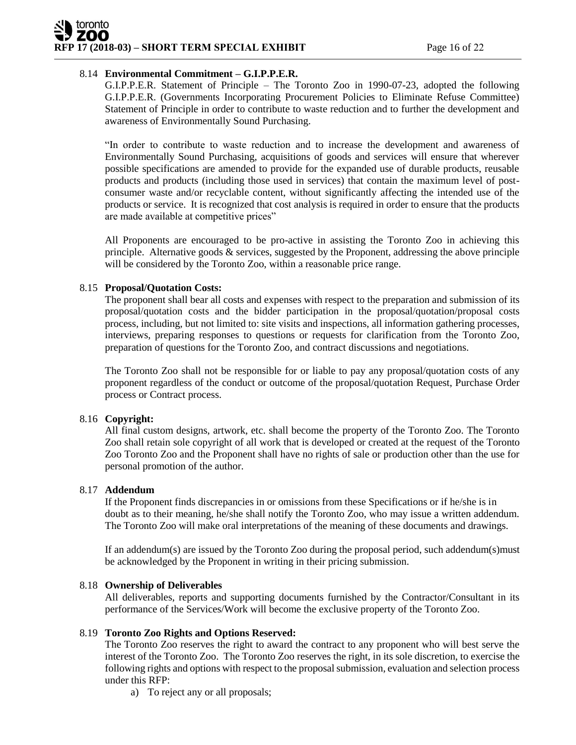# toronto **RFP 17** (2018-03) – **SHORT TERM SPECIAL EXHIBIT** Page 16 of 22

# 8.14 **Environmental Commitment – G.I.P.P.E.R.**

G.I.P.P.E.R. Statement of Principle – The Toronto Zoo in 1990-07-23, adopted the following G.I.P.P.E.R. (Governments Incorporating Procurement Policies to Eliminate Refuse Committee) Statement of Principle in order to contribute to waste reduction and to further the development and awareness of Environmentally Sound Purchasing.

"In order to contribute to waste reduction and to increase the development and awareness of Environmentally Sound Purchasing, acquisitions of goods and services will ensure that wherever possible specifications are amended to provide for the expanded use of durable products, reusable products and products (including those used in services) that contain the maximum level of postconsumer waste and/or recyclable content, without significantly affecting the intended use of the products or service. It is recognized that cost analysis is required in order to ensure that the products are made available at competitive prices"

All Proponents are encouraged to be pro-active in assisting the Toronto Zoo in achieving this principle. Alternative goods & services, suggested by the Proponent, addressing the above principle will be considered by the Toronto Zoo, within a reasonable price range.

#### 8.15 **Proposal/Quotation Costs:**

The proponent shall bear all costs and expenses with respect to the preparation and submission of its proposal/quotation costs and the bidder participation in the proposal/quotation/proposal costs process, including, but not limited to: site visits and inspections, all information gathering processes, interviews, preparing responses to questions or requests for clarification from the Toronto Zoo, preparation of questions for the Toronto Zoo, and contract discussions and negotiations.

The Toronto Zoo shall not be responsible for or liable to pay any proposal/quotation costs of any proponent regardless of the conduct or outcome of the proposal/quotation Request, Purchase Order process or Contract process.

# 8.16 **Copyright:**

All final custom designs, artwork, etc. shall become the property of the Toronto Zoo. The Toronto Zoo shall retain sole copyright of all work that is developed or created at the request of the Toronto Zoo Toronto Zoo and the Proponent shall have no rights of sale or production other than the use for personal promotion of the author.

#### 8.17 **Addendum**

If the Proponent finds discrepancies in or omissions from these Specifications or if he/she is in doubt as to their meaning, he/she shall notify the Toronto Zoo, who may issue a written addendum. The Toronto Zoo will make oral interpretations of the meaning of these documents and drawings.

If an addendum(s) are issued by the Toronto Zoo during the proposal period, such addendum(s)must be acknowledged by the Proponent in writing in their pricing submission.

#### 8.18 **Ownership of Deliverables**

All deliverables, reports and supporting documents furnished by the Contractor/Consultant in its performance of the Services/Work will become the exclusive property of the Toronto Zoo.

# 8.19 **Toronto Zoo Rights and Options Reserved:**

The Toronto Zoo reserves the right to award the contract to any proponent who will best serve the interest of the Toronto Zoo. The Toronto Zoo reserves the right, in its sole discretion, to exercise the following rights and options with respect to the proposal submission, evaluation and selection process under this RFP:

a) To reject any or all proposals;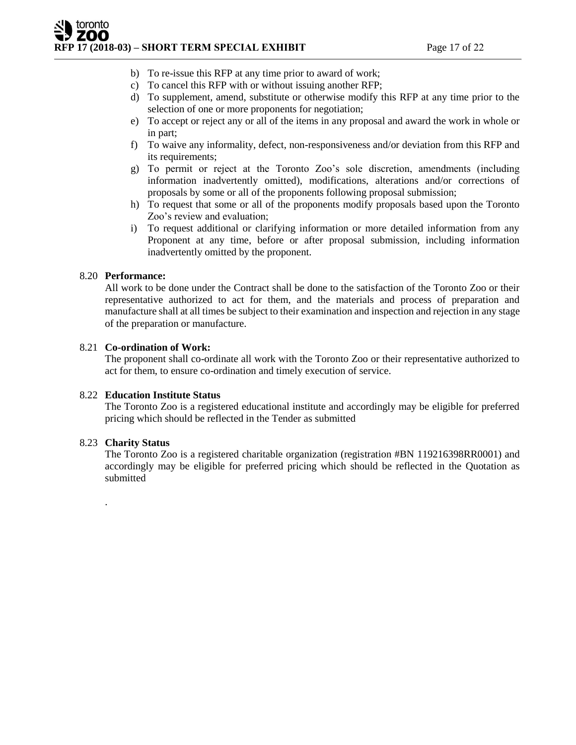- b) To re-issue this RFP at any time prior to award of work;
- c) To cancel this RFP with or without issuing another RFP;
- d) To supplement, amend, substitute or otherwise modify this RFP at any time prior to the selection of one or more proponents for negotiation;
- e) To accept or reject any or all of the items in any proposal and award the work in whole or in part;
- f) To waive any informality, defect, non-responsiveness and/or deviation from this RFP and its requirements;
- g) To permit or reject at the Toronto Zoo's sole discretion, amendments (including information inadvertently omitted), modifications, alterations and/or corrections of proposals by some or all of the proponents following proposal submission;
- h) To request that some or all of the proponents modify proposals based upon the Toronto Zoo's review and evaluation;
- i) To request additional or clarifying information or more detailed information from any Proponent at any time, before or after proposal submission, including information inadvertently omitted by the proponent.

# 8.20 **Performance:**

All work to be done under the Contract shall be done to the satisfaction of the Toronto Zoo or their representative authorized to act for them, and the materials and process of preparation and manufacture shall at all times be subject to their examination and inspection and rejection in any stage of the preparation or manufacture.

#### 8.21 **Co-ordination of Work:**

The proponent shall co-ordinate all work with the Toronto Zoo or their representative authorized to act for them, to ensure co-ordination and timely execution of service.

#### 8.22 **Education Institute Status**

The Toronto Zoo is a registered educational institute and accordingly may be eligible for preferred pricing which should be reflected in the Tender as submitted

#### 8.23 **Charity Status**

.

The Toronto Zoo is a registered charitable organization (registration #BN 119216398RR0001) and accordingly may be eligible for preferred pricing which should be reflected in the Quotation as submitted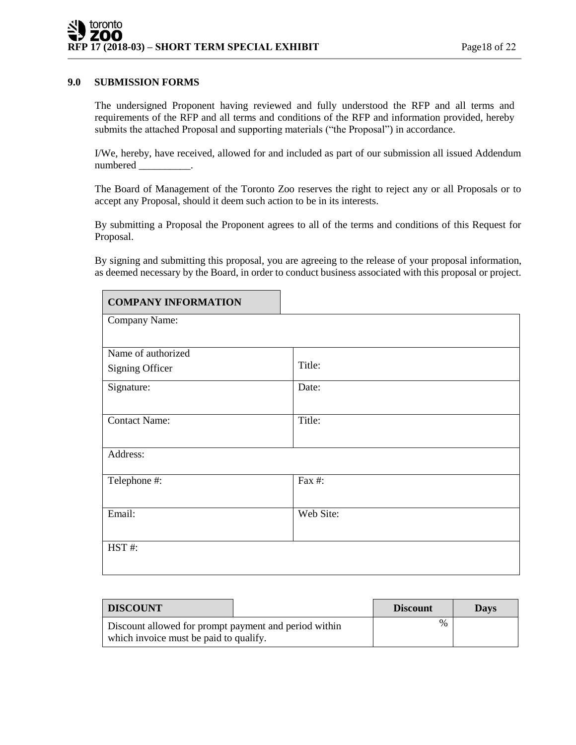#### **9.0 SUBMISSION FORMS**

The undersigned Proponent having reviewed and fully understood the RFP and all terms and requirements of the RFP and all terms and conditions of the RFP and information provided, hereby submits the attached Proposal and supporting materials ("the Proposal") in accordance.

I/We, hereby, have received, allowed for and included as part of our submission all issued Addendum numbered \_\_\_\_\_\_\_\_\_\_.

The Board of Management of the Toronto Zoo reserves the right to reject any or all Proposals or to accept any Proposal, should it deem such action to be in its interests.

By submitting a Proposal the Proponent agrees to all of the terms and conditions of this Request for Proposal.

By signing and submitting this proposal, you are agreeing to the release of your proposal information, as deemed necessary by the Board, in order to conduct business associated with this proposal or project.

| <b>COMPANY INFORMATION</b> |           |
|----------------------------|-----------|
| Company Name:              |           |
|                            |           |
| Name of authorized         |           |
| Signing Officer            | Title:    |
| Signature:                 | Date:     |
|                            |           |
| <b>Contact Name:</b>       | Title:    |
|                            |           |
| Address:                   |           |
| Telephone #:               | Fax #:    |
|                            |           |
| Email:                     | Web Site: |
|                            |           |
| HST#:                      |           |
|                            |           |

| <b>DISCOUNT</b>                                       |  | <b>Discount</b> | <b>Days</b> |
|-------------------------------------------------------|--|-----------------|-------------|
| Discount allowed for prompt payment and period within |  | $\%$            |             |
| which invoice must be paid to qualify.                |  |                 |             |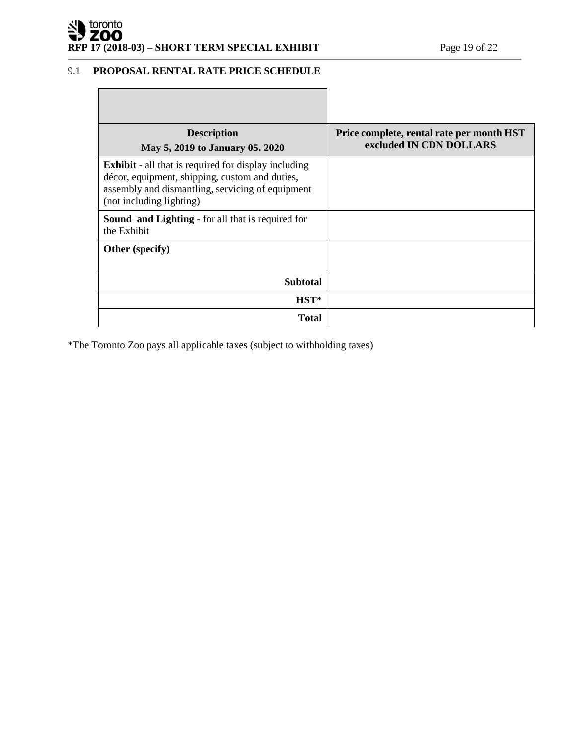# **REP 17** (2018-03) – **SHORT TERM SPECIAL EXHIBIT** Page 19 of 22

# 9.1 **PROPOSAL RENTAL RATE PRICE SCHEDULE**

| <b>Description</b><br>May 5, 2019 to January 05. 2020                                                                                                                                         | Price complete, rental rate per month HST<br>excluded IN CDN DOLLARS |
|-----------------------------------------------------------------------------------------------------------------------------------------------------------------------------------------------|----------------------------------------------------------------------|
| <b>Exhibit</b> - all that is required for display including<br>décor, equipment, shipping, custom and duties,<br>assembly and dismantling, servicing of equipment<br>(not including lighting) |                                                                      |
| <b>Sound and Lighting - for all that is required for</b><br>the Exhibit                                                                                                                       |                                                                      |
| Other (specify)                                                                                                                                                                               |                                                                      |
| <b>Subtotal</b>                                                                                                                                                                               |                                                                      |
| $HST^*$                                                                                                                                                                                       |                                                                      |
| <b>Total</b>                                                                                                                                                                                  |                                                                      |

\*The Toronto Zoo pays all applicable taxes (subject to withholding taxes)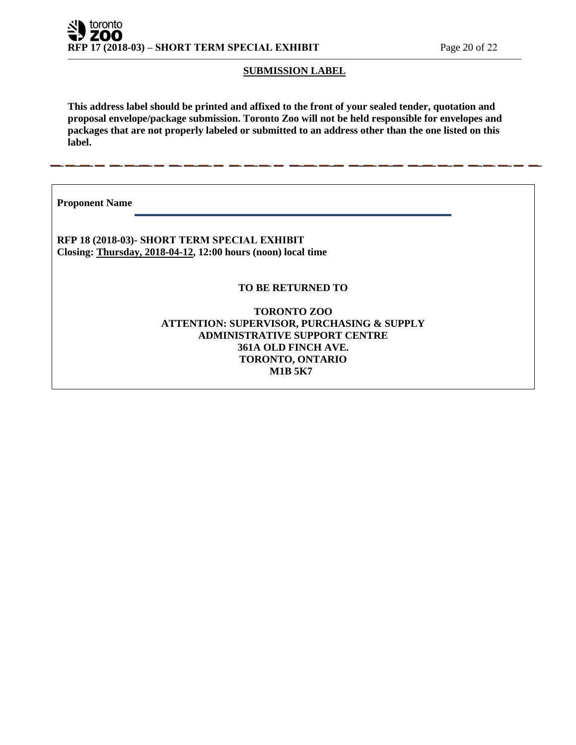# **SUBMISSION LABEL**

**This address label should be printed and affixed to the front of your sealed tender, quotation and proposal envelope/package submission. Toronto Zoo will not be held responsible for envelopes and packages that are not properly labeled or submitted to an address other than the one listed on this label.**

**Proponent Name** 

**RFP 18 (2018-03)- SHORT TERM SPECIAL EXHIBIT Closing: Thursday, 2018-04-12, 12:00 hours (noon) local time**

**TO BE RETURNED TO**

**TORONTO ZOO ATTENTION: SUPERVISOR, PURCHASING & SUPPLY ADMINISTRATIVE SUPPORT CENTRE 361A OLD FINCH AVE. TORONTO, ONTARIO M1B 5K7**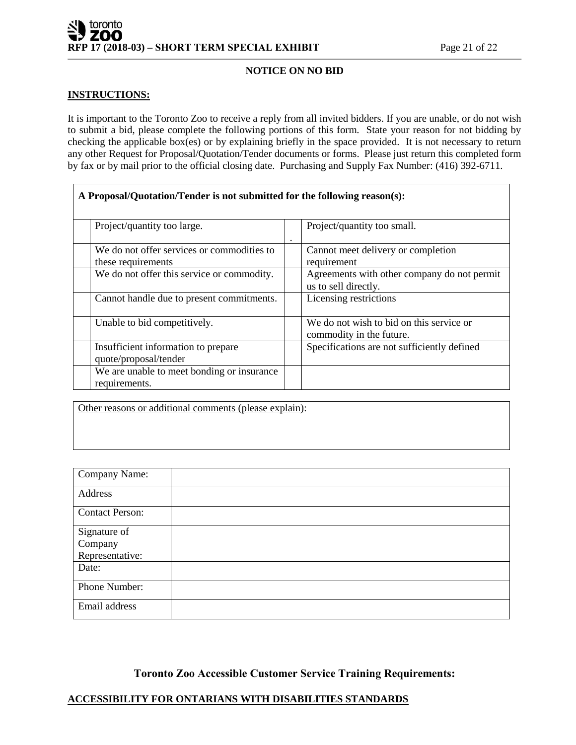# toronto ZOO **RFP 17 (2018-03) – SHORT TERM SPECIAL EXHIBIT** Page 21 of 22

# **NOTICE ON NO BID**

#### **INSTRUCTIONS:**

It is important to the Toronto Zoo to receive a reply from all invited bidders. If you are unable, or do not wish to submit a bid, please complete the following portions of this form. State your reason for not bidding by checking the applicable box(es) or by explaining briefly in the space provided. It is not necessary to return any other Request for Proposal/Quotation/Tender documents or forms. Please just return this completed form by fax or by mail prior to the official closing date. Purchasing and Supply Fax Number: (416) 392-6711.

| A Proposal/Quotation/Tender is not submitted for the following reason(s): |                                                                      |
|---------------------------------------------------------------------------|----------------------------------------------------------------------|
| Project/quantity too large.                                               | Project/quantity too small.<br>$\bullet$                             |
| We do not offer services or commodities to<br>these requirements          | Cannot meet delivery or completion<br>requirement                    |
| We do not offer this service or commodity.                                | Agreements with other company do not permit<br>us to sell directly.  |
| Cannot handle due to present commitments.                                 | Licensing restrictions                                               |
| Unable to bid competitively.                                              | We do not wish to bid on this service or<br>commodity in the future. |
| Insufficient information to prepare<br>quote/proposal/tender              | Specifications are not sufficiently defined                          |
| We are unable to meet bonding or insurance<br>requirements.               |                                                                      |

Other reasons or additional comments (please explain):

| Company Name:          |  |
|------------------------|--|
| Address                |  |
| <b>Contact Person:</b> |  |
| Signature of           |  |
| Company                |  |
| Representative:        |  |
| Date:                  |  |
| Phone Number:          |  |
| Email address          |  |

**Toronto Zoo Accessible Customer Service Training Requirements:** 

# **ACCESSIBILITY FOR ONTARIANS WITH DISABILITIES STANDARDS**